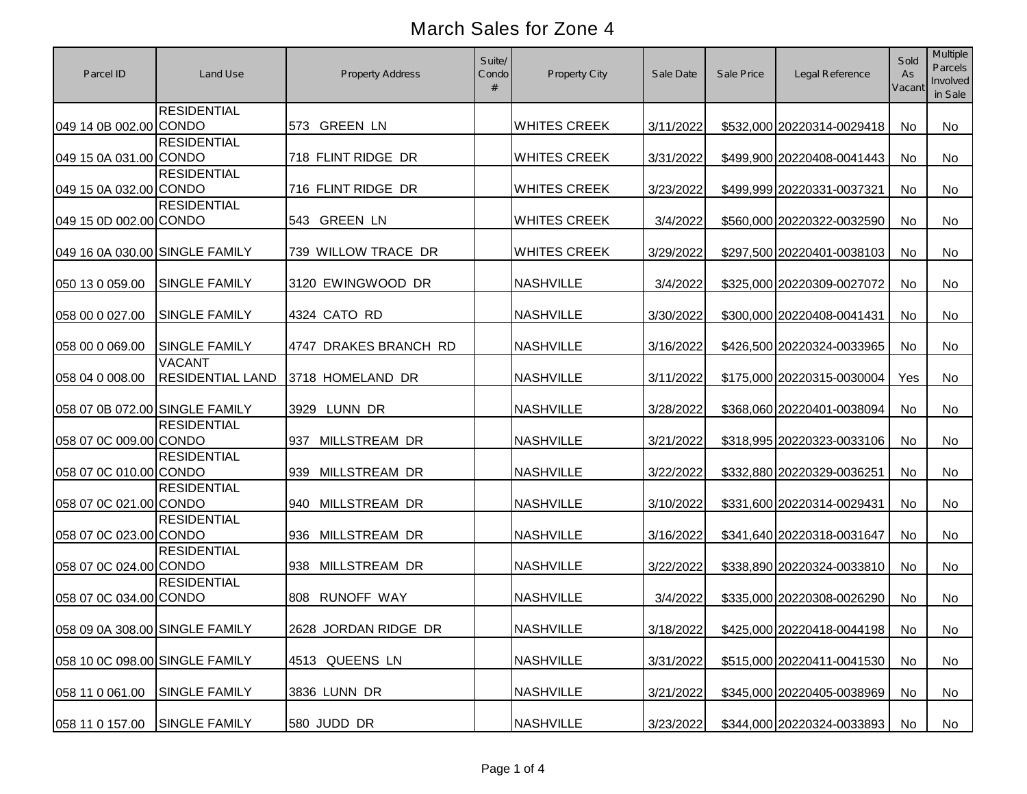| Parcel ID                      | Land Use                                 | <b>Property Address</b>     | Suite/<br>Condo<br># | Property City       | Sale Date | Sale Price | Legal Reference               | Sold<br>As<br>Vacant | <b>Multiple</b><br><b>Parcels</b><br>Involved<br>in Sale |
|--------------------------------|------------------------------------------|-----------------------------|----------------------|---------------------|-----------|------------|-------------------------------|----------------------|----------------------------------------------------------|
| 049 14 0B 002.00 CONDO         | <b>RESIDENTIAL</b>                       | 573 GREEN LN                |                      | <b>WHITES CREEK</b> | 3/11/2022 |            | \$532,000 20220314-0029418    | <b>No</b>            | No                                                       |
| 049 15 0A 031.00 CONDO         | <b>RESIDENTIAL</b>                       | 718 FLINT RIDGE DR          |                      | <b>WHITES CREEK</b> | 3/31/2022 |            | \$499,900 20220408-0041443    | <b>No</b>            | <b>No</b>                                                |
| 049 15 0A 032.00 CONDO         | <b>RESIDENTIAL</b>                       | 716 FLINT RIDGE DR          |                      | <b>WHITES CREEK</b> | 3/23/2022 |            | \$499,999 20220331-0037321    | No                   | No                                                       |
| 049 15 0D 002.00 CONDO         | <b>RESIDENTIAL</b>                       | 543 GREEN LN                |                      | <b>WHITES CREEK</b> | 3/4/2022  |            | \$560,000 20220322-0032590    | No                   | No                                                       |
| 049 16 0A 030.00 SINGLE FAMILY |                                          | 739 WILLOW TRACE DR         |                      | <b>WHITES CREEK</b> | 3/29/2022 |            | \$297,500 20220401-0038103    | <b>No</b>            | No                                                       |
| 050 13 0 059.00                | <b>SINGLE FAMILY</b>                     | 3120 EWINGWOOD DR           |                      | <b>NASHVILLE</b>    | 3/4/2022  |            | \$325,000 20220309-0027072    | <b>No</b>            | No                                                       |
| 058 00 0 027.00                | <b>SINGLE FAMILY</b>                     | 4324 CATO RD                |                      | <b>NASHVILLE</b>    | 3/30/2022 |            | \$300,000 20220408-0041431    | No                   | No                                                       |
| 058 00 0 069.00                | <b>SINGLE FAMILY</b>                     | 4747 DRAKES BRANCH RD       |                      | <b>NASHVILLE</b>    | 3/16/2022 |            | \$426,500 20220324-0033965    | <b>No</b>            | No                                                       |
| 058 04 0 008.00                | <b>VACANT</b><br><b>RESIDENTIAL LAND</b> | 3718 HOMELAND DR            |                      | <b>NASHVILLE</b>    | 3/11/2022 |            | \$175,000 20220315-0030004    | Yes                  | No                                                       |
| 058 07 0B 072.00 SINGLE FAMILY |                                          | 3929 LUNN DR                |                      | <b>NASHVILLE</b>    | 3/28/2022 |            | \$368,060 20220401-0038094    | No                   | No                                                       |
| 058 07 0C 009.00 CONDO         | <b>RESIDENTIAL</b>                       | <b>MILLSTREAM DR</b><br>937 |                      | <b>NASHVILLE</b>    | 3/21/2022 |            | \$318,995 20220323-0033106    | No                   | No                                                       |
| 058 07 0C 010.00 CONDO         | <b>RESIDENTIAL</b>                       | 939 MILLSTREAM DR           |                      | <b>NASHVILLE</b>    | 3/22/2022 |            | \$332,880 20220329-0036251    | No                   | No                                                       |
| 058 07 0C 021.00 CONDO         | <b>RESIDENTIAL</b>                       | 940 MILLSTREAM DR           |                      | <b>NASHVILLE</b>    | 3/10/2022 |            | \$331,600 20220314-0029431    | No                   | No                                                       |
| 058 07 0C 023.00 CONDO         | <b>RESIDENTIAL</b>                       | 936 MILLSTREAM DR           |                      | <b>NASHVILLE</b>    | 3/16/2022 |            | \$341,640 20220318-0031647    | No                   | No                                                       |
| 058 07 0C 024.00 CONDO         | <b>RESIDENTIAL</b>                       | 938 MILLSTREAM DR           |                      | <b>NASHVILLE</b>    | 3/22/2022 |            | \$338,890 20220324-0033810    | No                   | No                                                       |
| 058 07 0C 034.00 CONDO         | <b>RESIDENTIAL</b>                       | 808 RUNOFF WAY              |                      | <b>NASHVILLE</b>    | 3/4/2022  |            | \$335,000 20220308-0026290    | No                   | No                                                       |
| 058 09 0A 308.00 SINGLE FAMILY |                                          | 2628 JORDAN RIDGE DR        |                      | <b>NASHVILLE</b>    | 3/18/2022 |            | \$425,000 20220418-0044198 No |                      | No                                                       |
| 058 10 0C 098.00 SINGLE FAMILY |                                          | 4513 QUEENS LN              |                      | <b>NASHVILLE</b>    | 3/31/2022 |            | \$515,000 20220411-0041530    | No                   | No                                                       |
| 058 11 0 061.00                | <b>SINGLE FAMILY</b>                     | 3836 LUNN DR                |                      | <b>NASHVILLE</b>    | 3/21/2022 |            | \$345,000 20220405-0038969    | No                   | No                                                       |
| 058 11 0 157.00                | SINGLE FAMILY                            | 580 JUDD DR                 |                      | <b>NASHVILLE</b>    | 3/23/2022 |            | \$344,000 20220324-0033893    | No                   | No                                                       |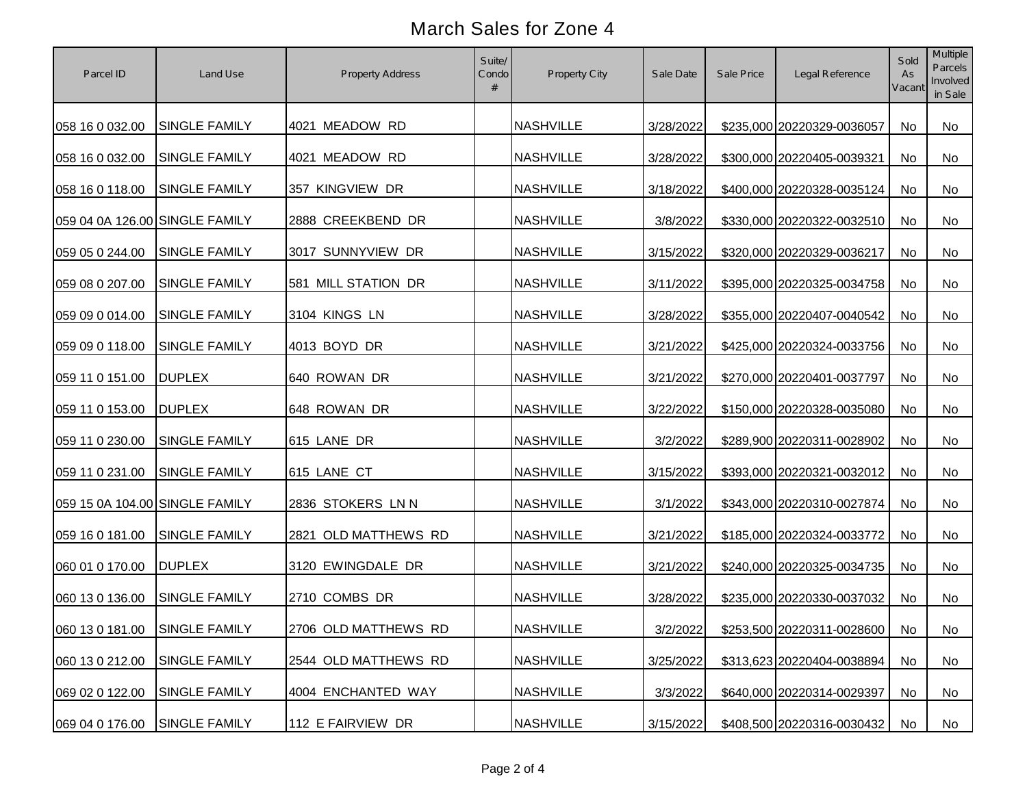| Parcel ID                      | Land Use             | <b>Property Address</b> | Suite/<br>Condo | Property City    | Sale Date | Sale Price | Legal Reference            | Sold<br>As<br>Vacant | Multiple<br><b>Parcels</b><br>Involved<br>in Sale |
|--------------------------------|----------------------|-------------------------|-----------------|------------------|-----------|------------|----------------------------|----------------------|---------------------------------------------------|
| 058 16 0 032.00                | <b>SINGLE FAMILY</b> | 4021 MEADOW RD          |                 | <b>NASHVILLE</b> | 3/28/2022 |            | \$235,000 20220329-0036057 | No                   | No                                                |
| 058 16 0 032.00                | <b>SINGLE FAMILY</b> | 4021 MEADOW RD          |                 | <b>NASHVILLE</b> | 3/28/2022 |            | \$300,000 20220405-0039321 | No                   | No                                                |
| 058 16 0 118.00                | <b>SINGLE FAMILY</b> | 357 KINGVIEW DR         |                 | <b>NASHVILLE</b> | 3/18/2022 |            | \$400,000 20220328-0035124 | No                   | No                                                |
| 059 04 0A 126.00 SINGLE FAMILY |                      | 2888 CREEKBEND DR       |                 | <b>NASHVILLE</b> | 3/8/2022  |            | \$330,000 20220322-0032510 | No                   | No                                                |
| 059 05 0 244.00                | <b>SINGLE FAMILY</b> | 3017 SUNNYVIEW DR       |                 | <b>NASHVILLE</b> | 3/15/2022 |            | \$320,000 20220329-0036217 | No                   | No                                                |
| 059 08 0 207.00                | <b>SINGLE FAMILY</b> | 581 MILL STATION DR     |                 | <b>NASHVILLE</b> | 3/11/2022 |            | \$395,000 20220325-0034758 | No                   | No                                                |
| 059 09 0 014.00                | <b>SINGLE FAMILY</b> | 3104 KINGS LN           |                 | <b>NASHVILLE</b> | 3/28/2022 |            | \$355,000 20220407-0040542 | No                   | No                                                |
| 059 09 0 118.00                | <b>SINGLE FAMILY</b> | 4013 BOYD DR            |                 | <b>NASHVILLE</b> | 3/21/2022 |            | \$425,000 20220324-0033756 | No                   | No                                                |
| 059 11 0 151.00                | <b>DUPLEX</b>        | 640 ROWAN DR            |                 | <b>NASHVILLE</b> | 3/21/2022 |            | \$270,000 20220401-0037797 | No                   | No                                                |
| 059 11 0 153.00                | <b>DUPLEX</b>        | 648 ROWAN DR            |                 | <b>NASHVILLE</b> | 3/22/2022 |            | \$150,000 20220328-0035080 | No                   | No                                                |
| 059 11 0 230.00                | <b>SINGLE FAMILY</b> | 615 LANE DR             |                 | <b>NASHVILLE</b> | 3/2/2022  |            | \$289,900 20220311-0028902 | No                   | No                                                |
| 059 11 0 231.00                | <b>SINGLE FAMILY</b> | 615 LANE CT             |                 | <b>NASHVILLE</b> | 3/15/2022 |            | \$393,000 20220321-0032012 | No                   | No                                                |
| 059 15 0A 104.00 SINGLE FAMILY |                      | 2836 STOKERS LN N       |                 | <b>NASHVILLE</b> | 3/1/2022  |            | \$343,000 20220310-0027874 | No                   | No                                                |
| 059 16 0 181.00                | <b>SINGLE FAMILY</b> | 2821 OLD MATTHEWS RD    |                 | <b>NASHVILLE</b> | 3/21/2022 |            | \$185,000 20220324-0033772 | No                   | No                                                |
| 060 01 0 170.00                | <b>DUPLEX</b>        | 3120 EWINGDALE DR       |                 | <b>NASHVILLE</b> | 3/21/2022 |            | \$240,000 20220325-0034735 | No                   | No                                                |
| 060 13 0 136.00                | <b>SINGLE FAMILY</b> | 2710 COMBS DR           |                 | <b>NASHVILLE</b> | 3/28/2022 |            | \$235,000 20220330-0037032 | No                   | No                                                |
| 060 13 0 181.00 SINGLE FAMILY  |                      | 2706 OLD MATTHEWS RD    |                 | <b>NASHVILLE</b> | 3/2/2022  |            | \$253,500 20220311-0028600 | No                   | No                                                |
| 060 13 0 212.00                | <b>SINGLE FAMILY</b> | 2544 OLD MATTHEWS RD    |                 | <b>NASHVILLE</b> | 3/25/2022 |            | \$313,623 20220404-0038894 | No                   | No                                                |
| 069 02 0 122.00                | <b>SINGLE FAMILY</b> | 4004 ENCHANTED WAY      |                 | <b>NASHVILLE</b> | 3/3/2022  |            | \$640,000 20220314-0029397 | No                   | No                                                |
| 069 04 0 176.00                | SINGLE FAMILY        | 112 E FAIRVIEW DR       |                 | <b>NASHVILLE</b> | 3/15/2022 |            | \$408,500 20220316-0030432 | No                   | No                                                |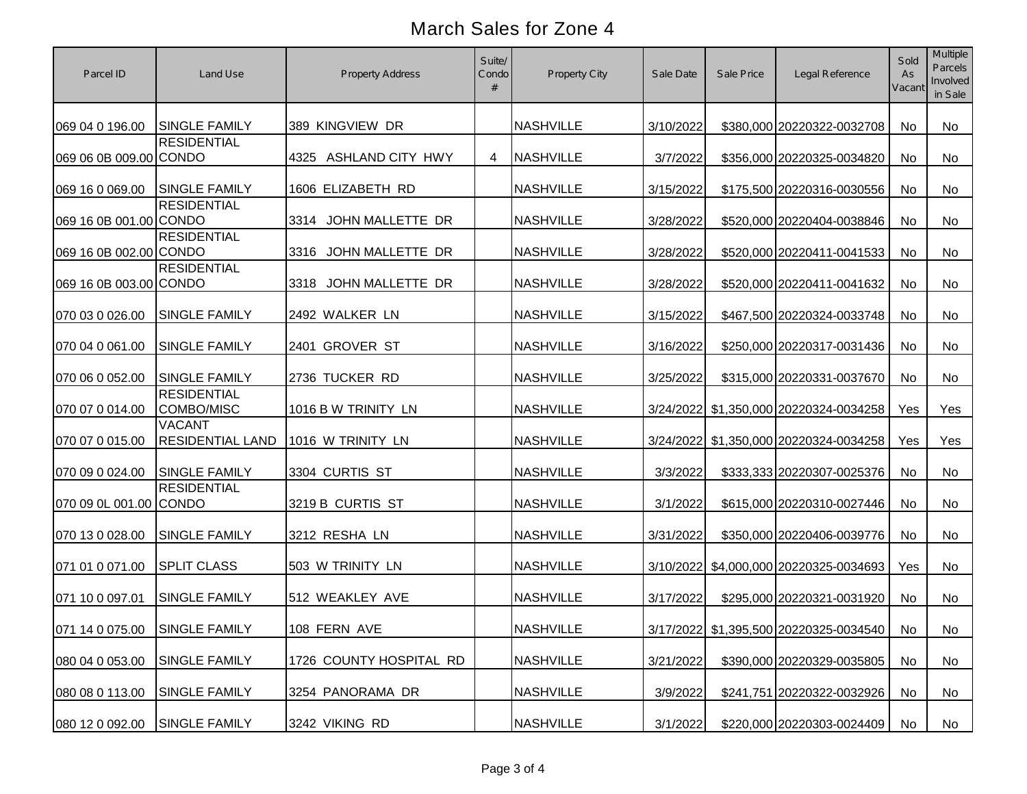| Parcel ID                     | Land Use                                 | <b>Property Address</b> | Suite/<br>Condo | Property City    | Sale Date | Sale Price | Legal Reference                        | Sold<br>As<br>Vacant | Multiple<br>Parcels<br>Involved<br>in Sale |
|-------------------------------|------------------------------------------|-------------------------|-----------------|------------------|-----------|------------|----------------------------------------|----------------------|--------------------------------------------|
| 069 04 0 196.00               | <b>SINGLE FAMILY</b>                     | 389 KINGVIEW DR         |                 | <b>NASHVILLE</b> | 3/10/2022 |            | \$380,000 20220322-0032708             | No                   | <b>No</b>                                  |
| 069 06 0B 009.00 CONDO        | <b>RESIDENTIAL</b>                       | 4325 ASHLAND CITY HWY   | 4               | <b>NASHVILLE</b> | 3/7/2022  |            | \$356,000 20220325-0034820             | No                   | No                                         |
| 069 16 0 069.00               | <b>SINGLE FAMILY</b>                     | 1606 ELIZABETH RD       |                 | <b>NASHVILLE</b> | 3/15/2022 |            | \$175,500 20220316-0030556             | <b>No</b>            | No                                         |
| 069 16 0B 001.00 CONDO        | <b>RESIDENTIAL</b>                       | 3314 JOHN MALLETTE DR   |                 | <b>NASHVILLE</b> | 3/28/2022 |            | \$520,000 20220404-0038846             | <b>No</b>            | No                                         |
| 069 16 0B 002.00 CONDO        | <b>RESIDENTIAL</b>                       | 3316 JOHN MALLETTE DR   |                 | <b>NASHVILLE</b> | 3/28/2022 |            | \$520,000 20220411-0041533             | No                   | No                                         |
| 069 16 0B 003.00 CONDO        | <b>RESIDENTIAL</b>                       | 3318 JOHN MALLETTE DR   |                 | <b>NASHVILLE</b> | 3/28/2022 |            | \$520,000 20220411-0041632             | No                   | No                                         |
| 070 03 0 026.00               | <b>SINGLE FAMILY</b>                     | 2492 WALKER LN          |                 | <b>NASHVILLE</b> | 3/15/2022 |            | \$467,500 20220324-0033748             | No                   | No                                         |
| 070 04 0 061.00               | <b>SINGLE FAMILY</b>                     | 2401 GROVER ST          |                 | <b>NASHVILLE</b> | 3/16/2022 |            | \$250,000 20220317-0031436             | No                   | No                                         |
| 070 06 0 052.00               | <b>SINGLE FAMILY</b>                     | 2736 TUCKER RD          |                 | <b>NASHVILLE</b> | 3/25/2022 |            | \$315,000 20220331-0037670             | No                   | No                                         |
| 070 07 0 014.00               | <b>RESIDENTIAL</b><br>COMBO/MISC         | 1016 B W TRINITY LN     |                 | <b>NASHVILLE</b> |           |            | 3/24/2022 \$1,350,000 20220324-0034258 | Yes                  | Yes                                        |
| 070 07 0 015.00               | <b>VACANT</b><br><b>RESIDENTIAL LAND</b> | 1016 W TRINITY LN       |                 | <b>NASHVILLE</b> |           |            | 3/24/2022 \$1,350,000 20220324-0034258 | Yes                  | Yes                                        |
| 070 09 0 024.00               | <b>SINGLE FAMILY</b>                     | 3304 CURTIS ST          |                 | <b>NASHVILLE</b> | 3/3/2022  |            | \$333,333 20220307-0025376             | <b>No</b>            | <b>No</b>                                  |
| 070 09 0L 001.00 CONDO        | <b>RESIDENTIAL</b>                       | 3219 B CURTIS ST        |                 | <b>NASHVILLE</b> | 3/1/2022  |            | \$615,000 20220310-0027446             | <b>No</b>            | <b>No</b>                                  |
| 070 13 0 028.00               | <b>SINGLE FAMILY</b>                     | 3212 RESHA LN           |                 | <b>NASHVILLE</b> | 3/31/2022 |            | \$350,000 20220406-0039776             | <b>No</b>            | No                                         |
| 071 01 0 071.00               | <b>SPLIT CLASS</b>                       | 503 W TRINITY LN        |                 | <b>NASHVILLE</b> |           |            | 3/10/2022 \$4,000,000 20220325-0034693 | Yes                  | <b>No</b>                                  |
| 071 10 0 097.01               | <b>SINGLE FAMILY</b>                     | 512 WEAKLEY AVE         |                 | <b>NASHVILLE</b> | 3/17/2022 |            | \$295,000 20220321-0031920             | <b>No</b>            | <b>No</b>                                  |
| 071 14 0 075.00 SINGLE FAMILY |                                          | 108 FERN AVE            |                 | NASHVILLE        |           |            | 3/17/2022 \$1,395,500 20220325-0034540 | No                   | No                                         |
| 080 04 0 053.00               | <b>SINGLE FAMILY</b>                     | 1726 COUNTY HOSPITAL RD |                 | <b>NASHVILLE</b> | 3/21/2022 |            | \$390,000 20220329-0035805             | No                   | No                                         |
| 080 08 0 113.00               | <b>SINGLE FAMILY</b>                     | 3254 PANORAMA DR        |                 | <b>NASHVILLE</b> | 3/9/2022  |            | \$241,751 20220322-0032926             | No                   | No                                         |
| 080 12 0 092.00               | <b>SINGLE FAMILY</b>                     | 3242 VIKING RD          |                 | <b>NASHVILLE</b> | 3/1/2022  |            | \$220,000 20220303-0024409             | No                   | No                                         |